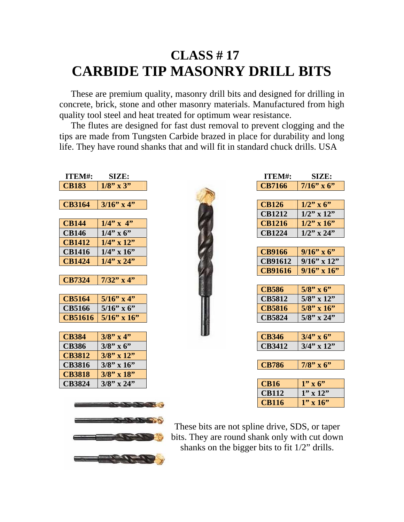## **CLASS # 17 CARBIDE TIP MASONRY DRILL BITS**

 These are premium quality, masonry drill bits and designed for drilling in concrete, brick, stone and other masonry materials. Manufactured from high quality tool steel and heat treated for optimum wear resistance.

 The flutes are designed for fast dust removal to prevent clogging and the tips are made from Tungsten Carbide brazed in place for durability and long life. They have round shanks that and will fit in standard chuck drills. USA

| ITEM#:         | SIZE:             | ITEM#:         | SIZE:             |
|----------------|-------------------|----------------|-------------------|
| <b>CB183</b>   | $1/8$ " x 3"      | <b>CB7166</b>  | $7/16$ " x 6"     |
|                |                   |                |                   |
| <b>CB3164</b>  | $3/16$ " x 4"     | <b>CB126</b>   | $1/2$ " x 6"      |
|                |                   | <b>CB1212</b>  | $1/2$ " x $12$ "  |
| <b>CB144</b>   | $1/4$ " x 4"      | <b>CB1216</b>  | $1/2$ " x $16$ "  |
| <b>CB146</b>   | $1/4$ " x 6"      | <b>CB1224</b>  | $1/2$ " x 24"     |
| <b>CB1412</b>  | $1/4$ " x $12$ "  |                |                   |
| <b>CB1416</b>  | $1/4$ " x $16$ "  | <b>CB9166</b>  | $9/16$ " x 6"     |
| <b>CB1424</b>  | $1/4$ " x 24"     | <b>CB91612</b> | $9/16$ " x 12"    |
|                |                   | <b>CB91616</b> | $9/16$ " x $16$ " |
| CB7324         | $7/32$ " x 4"     |                |                   |
|                |                   | <b>CB586</b>   | $5/8$ " x 6"      |
| <b>CB5164</b>  | $5/16$ " x 4"     | <b>CB5812</b>  | $5/8$ " x $12$ "  |
| <b>CB5166</b>  | $5/16$ " x 6"     | <b>CB5816</b>  | $5/8$ " x $16$ "  |
| <b>CB51616</b> | $5/16$ " x $16$ " | <b>CB5824</b>  | $5/8$ " x 24"     |
|                |                   |                |                   |
| <b>CB384</b>   | $3/8$ " x 4"      | <b>CB346</b>   | $3/4$ " x 6"      |
| <b>CB386</b>   | $3/8$ " x 6"      | <b>CB3412</b>  | $3/4$ " x $12$ "  |
| <b>CB3812</b>  | $3/8$ " x 12"     |                |                   |
| <b>CB3816</b>  | $3/8$ " x $16$ "  | <b>CB786</b>   | $7/8$ " x 6"      |
| <b>CB3818</b>  | $3/8$ " x $18$ "  |                |                   |
| <b>CB3824</b>  | $3/8$ " x 24"     | <b>CB16</b>    | $1" \times 6"$    |
|                |                   | <b>CB112</b>   | $1''$ x $12''$    |
|                | <b>CONTRACTOR</b> | <b>CB116</b>   | $1'' \times 16''$ |



These bits are not spline drive, SDS, or taper bits. They are round shank only with cut down shanks on the bigger bits to fit 1/2" drills.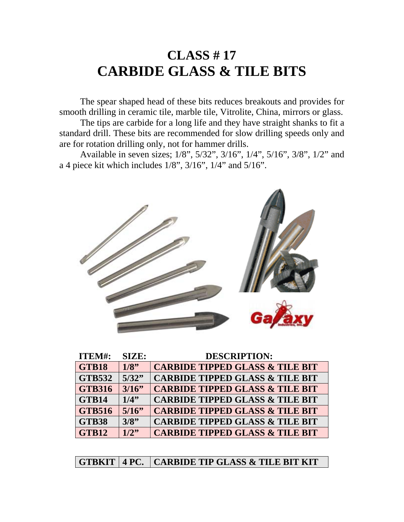## **CLASS # 17 CARBIDE GLASS & TILE BITS**

 The spear shaped head of these bits reduces breakouts and provides for smooth drilling in ceramic tile, marble tile, Vitrolite, China, mirrors or glass.

 The tips are carbide for a long life and they have straight shanks to fit a standard drill. These bits are recommended for slow drilling speeds only and are for rotation drilling only, not for hammer drills.

 Available in seven sizes; 1/8", 5/32", 3/16", 1/4", 5/16", 3/8", 1/2" and a 4 piece kit which includes 1/8", 3/16", 1/4" and 5/16".



| <b>ITEM#:</b> | <b>SIZE:</b> | <b>DESCRIPTION:</b>                        |
|---------------|--------------|--------------------------------------------|
| GTB18         | 1/8          | <b>CARBIDE TIPPED GLASS &amp; TILE BIT</b> |
| <b>GTB532</b> | 5/32"        | <b>CARBIDE TIPPED GLASS &amp; TILE BIT</b> |
| <b>GTB316</b> | 3/16         | <b>CARBIDE TIPPED GLASS &amp; TILE BIT</b> |
| GTB14         | 1/4"         | <b>CARBIDE TIPPED GLASS &amp; TILE BIT</b> |
| <b>GTB516</b> | 5/16         | <b>CARBIDE TIPPED GLASS &amp; TILE BIT</b> |
| <b>GTB38</b>  | 3/8"         | <b>CARBIDE TIPPED GLASS &amp; TILE BIT</b> |
| GTB12         | 1/2"         | <b>CARBIDE TIPPED GLASS &amp; TILE BIT</b> |

**GTBKIT 4 PC. CARBIDE TIP GLASS & TILE BIT KIT**